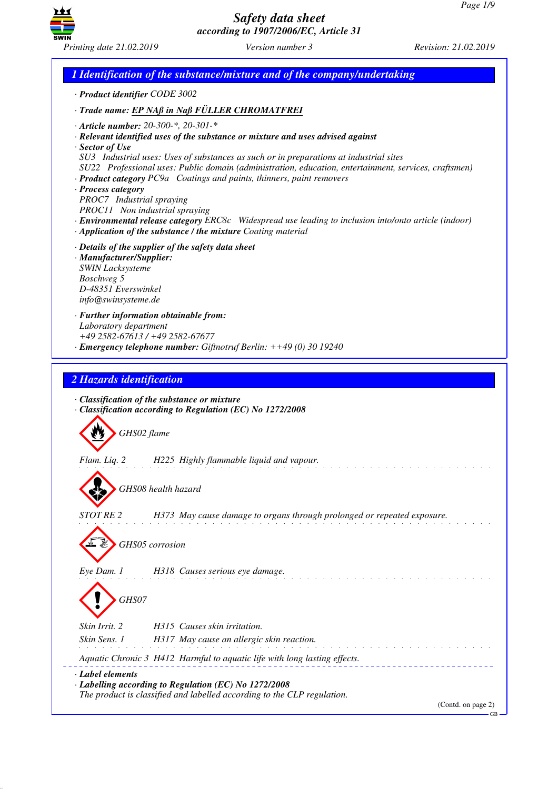

*1 Identification of the substance/mixture and of the company/undertaking · Product identifier CODE 3002 · Trade name: EP NAß in Naß FÜLLER CHROMATFREI · Article number: 20-300-\*, 20-301-\* · Relevant identified uses of the substance or mixture and uses advised against · Sector of Use SU3 Industrial uses: Uses of substances as such or in preparations at industrial sites SU22 Professional uses: Public domain (administration, education, entertainment, services, craftsmen) · Product category PC9a Coatings and paints, thinners, paint removers · Process category PROC7 Industrial spraying PROC11 Non industrial spraying · Environmental release category ERC8c Widespread use leading to inclusion into/onto article (indoor) · Application of the substance / the mixture Coating material · Details of the supplier of the safety data sheet · Manufacturer/Supplier: SWIN Lacksysteme Boschweg 5 D-48351 Everswinkel info@swinsysteme.de · Further information obtainable from: Laboratory department +49 2582-67613 / +49 2582-67677 · Emergency telephone number: Giftnotruf Berlin: ++49 (0) 30 19240 2 Hazards identification · Classification of the substance or mixture · Classification according to Regulation (EC) No 1272/2008* d~*GHS02 flame Flam. Liq. 2 H225 Highly flammable liquid and vapour.* d~*GHS08 health hazard STOT RE 2 H373 May cause damage to organs through prolonged or repeated exposure.* d~*GHS05 corrosion Eye Dam. 1 H318 Causes serious eye damage.* d~*GHS07 Skin Irrit. 2 H315 Causes skin irritation. Skin Sens. 1 H317 May cause an allergic skin reaction. Aquatic Chronic 3 H412 Harmful to aquatic life with long lasting effects. · Label elements · Labelling according to Regulation (EC) No 1272/2008 The product is classified and labelled according to the CLP regulation.* (Contd. on page 2) GB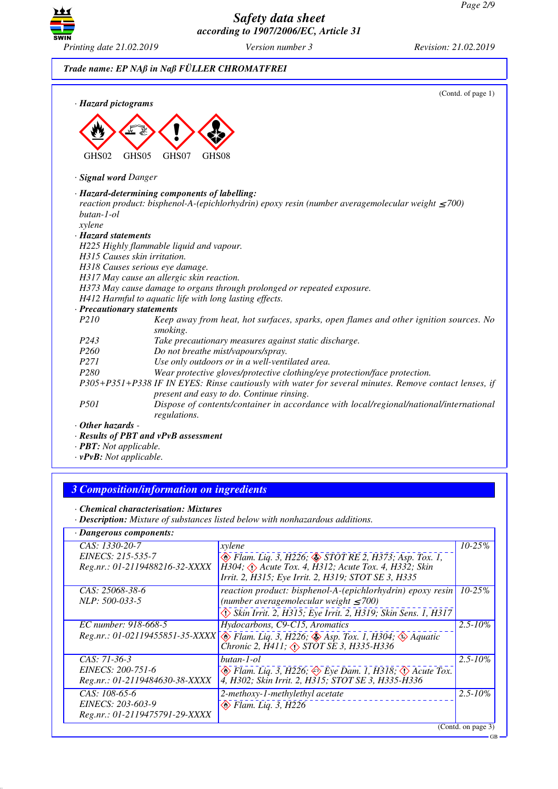GB



*Safety data sheet according to 1907/2006/EC, Article 31*



| · Hazard pictograms                 | (Contd. of page 1)                                                                                                                                      |
|-------------------------------------|---------------------------------------------------------------------------------------------------------------------------------------------------------|
| GHS02                               | GHS05<br>GHS07<br>GHS08                                                                                                                                 |
| · Signal word Danger                |                                                                                                                                                         |
| butan-1-ol                          | · Hazard-determining components of labelling:<br>reaction product: bisphenol-A-(epichlorhydrin) epoxy resin (number averagemolecular weight $\leq$ 700) |
| xylene<br>· Hazard statements       |                                                                                                                                                         |
|                                     | H225 Highly flammable liquid and vapour.                                                                                                                |
|                                     | H315 Causes skin irritation.                                                                                                                            |
|                                     | H318 Causes serious eye damage.                                                                                                                         |
|                                     | H317 May cause an allergic skin reaction.                                                                                                               |
|                                     | H373 May cause damage to organs through prolonged or repeated exposure.                                                                                 |
|                                     | H412 Harmful to aquatic life with long lasting effects.                                                                                                 |
|                                     | · Precautionary statements                                                                                                                              |
| P210                                | Keep away from heat, hot surfaces, sparks, open flames and other ignition sources. No<br>smoking.                                                       |
| P243                                | Take precautionary measures against static discharge.                                                                                                   |
| P <sub>260</sub>                    | Do not breathe mist/vapours/spray.                                                                                                                      |
| P271                                | Use only outdoors or in a well-ventilated area.                                                                                                         |
| P <sub>280</sub>                    | Wear protective gloves/protective clothing/eye protection/face protection.                                                                              |
|                                     | P305+P351+P338 IF IN EYES: Rinse cautiously with water for several minutes. Remove contact lenses, if<br>present and easy to do. Continue rinsing.      |
| <i>P501</i>                         | Dispose of contents/container in accordance with local/regional/national/international<br>regulations.                                                  |
| $\cdot$ Other hazards -             |                                                                                                                                                         |
|                                     | · Results of PBT and vPvB assessment                                                                                                                    |
| $\cdot$ <b>PBT:</b> Not applicable. |                                                                                                                                                         |

*· vPvB: Not applicable.*

# *3 Composition/information on ingredients*

*· Description: Mixture of substances listed below with nonhazardous additions.*

| $\cdot$ Dangerous components:                                         |                                                                                                                                                                                                                                  |                    |  |  |
|-----------------------------------------------------------------------|----------------------------------------------------------------------------------------------------------------------------------------------------------------------------------------------------------------------------------|--------------------|--|--|
| CAS: 1330-20-7<br>EINECS: 215-535-7<br>Reg.nr.: 01-2119488216-32-XXXX | xylene<br>B Flam. Liq. 3, H226; STOT RE 2, H373; Asp. Tox. 1,<br>H304; $\Diamond$ Acute Tox. 4, H312; Acute Tox. 4, H332; Skin                                                                                                   | $10 - 25%$         |  |  |
| CAS: 25068-38-6<br>NLP: 500-033-5                                     | Irrit. 2, H315; Eye Irrit. 2, H319; STOT SE 3, H335<br>reaction product: bisphenol-A-(epichlorhydrin) epoxy resin<br>(number averagemolecular weight $\leq 700$ )<br>Skin Irrit. 2, H315; Eye Irrit. 2, H319; Skin Sens. 1, H317 | $10 - 25%$         |  |  |
| EC number: 918-668-5                                                  | Hydocarbons, C9-C15, Aromatics<br>Reg.nr.: 01-02119455851-35-XXXX \[ Flam. Liq. 3, H226; $\circledast$ Asp. Tox. 1, H304; $\circledast$ Aquatic<br>Chronic 2, H411; < $\Diamond$ STOT SE 3, H335-H336                            | $2.5 - 10\%$       |  |  |
| CAS: 71-36-3<br>EINECS: 200-751-6<br>Reg.nr.: 01-2119484630-38-XXXX   | butan-1-ol<br>$\Leftrightarrow$ Flam. Lig. 3, H226; $\Leftrightarrow$ Eye Dam. 1, H318; $\Leftrightarrow$ Acute Tox.<br>4, H302; Skin Irrit. 2, H315; STOT SE 3, H335-H336                                                       | $2.5 - 10\%$       |  |  |
| CAS: 108-65-6<br>EINECS: 203-603-9<br>Reg.nr.: 01-2119475791-29-XXXX  | 2-methoxy-1-methylethyl acetate<br>$\otimes$ Flam. Liq. 3, H226                                                                                                                                                                  | $2.5 - 10\%$       |  |  |
|                                                                       |                                                                                                                                                                                                                                  | (Contd. on page 3) |  |  |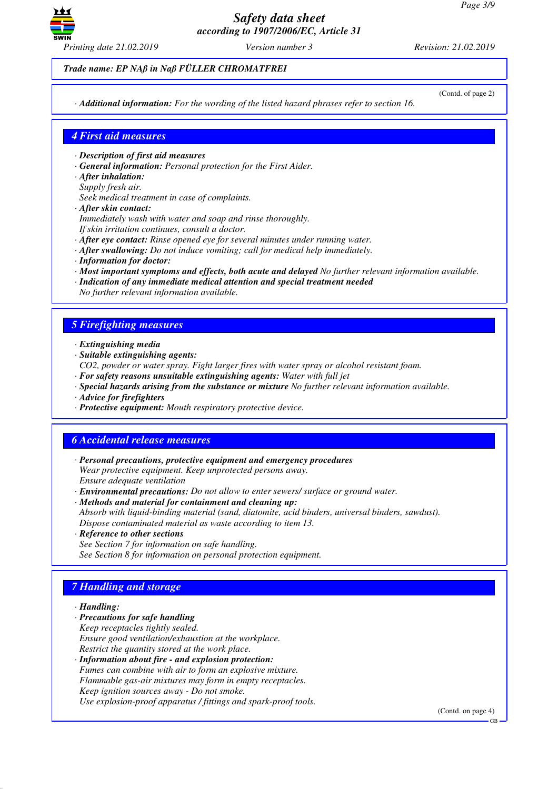

*Trade name: EP NAß in Naß FÜLLER CHROMATFREI*

(Contd. of page 2)

*· Additional information: For the wording of the listed hazard phrases refer to section 16.*

### *4 First aid measures*

- *· Description of first aid measures*
- *· General information: Personal protection for the First Aider.*
- *· After inhalation:*
- *Supply fresh air.*
- *Seek medical treatment in case of complaints.*
- *· After skin contact:*
- *Immediately wash with water and soap and rinse thoroughly.*
- *If skin irritation continues, consult a doctor.*
- *· After eye contact: Rinse opened eye for several minutes under running water.*
- *· After swallowing: Do not induce vomiting; call for medical help immediately.*
- *· Information for doctor:*
- *· Most important symptoms and effects, both acute and delayed No further relevant information available.*
- *· Indication of any immediate medical attention and special treatment needed No further relevant information available.*

# *5 Firefighting measures*

- *· Extinguishing media*
- *· Suitable extinguishing agents:*
- *CO2, powder or water spray. Fight larger fires with water spray or alcohol resistant foam.*
- *· For safety reasons unsuitable extinguishing agents: Water with full jet*
- *· Special hazards arising from the substance or mixture No further relevant information available.*
- *· Advice for firefighters*
- *· Protective equipment: Mouth respiratory protective device.*

# *6 Accidental release measures*

- *· Personal precautions, protective equipment and emergency procedures Wear protective equipment. Keep unprotected persons away. Ensure adequate ventilation*
- *· Environmental precautions: Do not allow to enter sewers/ surface or ground water.*
- *· Methods and material for containment and cleaning up:*
- *Absorb with liquid-binding material (sand, diatomite, acid binders, universal binders, sawdust). Dispose contaminated material as waste according to item 13.*
- *· Reference to other sections*
- *See Section 7 for information on safe handling. See Section 8 for information on personal protection equipment.*

# *7 Handling and storage*

- *· Handling:*
- *· Precautions for safe handling Keep receptacles tightly sealed. Ensure good ventilation/exhaustion at the workplace. Restrict the quantity stored at the work place.*
- *· Information about fire and explosion protection: Fumes can combine with air to form an explosive mixture. Flammable gas-air mixtures may form in empty receptacles. Keep ignition sources away - Do not smoke. Use explosion-proof apparatus / fittings and spark-proof tools.*

(Contd. on page 4)

GB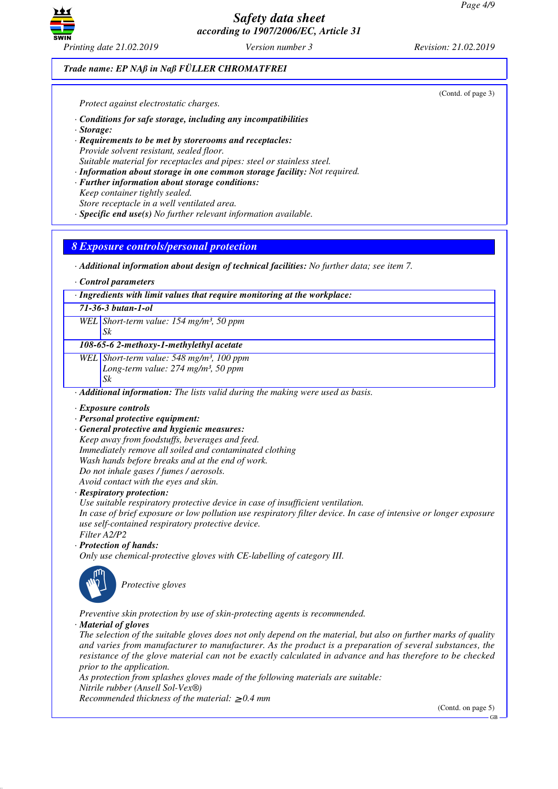

(Contd. of page 3)

#### *Trade name: EP NAß in Naß FÜLLER CHROMATFREI*

*Protect against electrostatic charges.*

- *· Conditions for safe storage, including any incompatibilities*
- *· Storage:*
- *· Requirements to be met by storerooms and receptacles: Provide solvent resistant, sealed floor. Suitable material for receptacles and pipes: steel or stainless steel.*
- *· Information about storage in one common storage facility: Not required.*
- *· Further information about storage conditions: Keep container tightly sealed.*
- *Store receptacle in a well ventilated area.*
- *· Specific end use(s) No further relevant information available.*

### *8 Exposure controls/personal protection*

*· Additional information about design of technical facilities: No further data; see item 7.*

*· Control parameters*

*· Ingredients with limit values that require monitoring at the workplace:*

*71-36-3 butan-1-ol*

*WEL Short-term value: 154 mg/m³, 50 ppm*

*Sk*

*108-65-6 2-methoxy-1-methylethyl acetate*

*WEL Short-term value: 548 mg/m³, 100 ppm Long-term value: 274 mg/m³, 50 ppm Sk*

*· Additional information: The lists valid during the making were used as basis.*

*· Exposure controls*

- *· Personal protective equipment:*
- *· General protective and hygienic measures: Keep away from foodstuffs, beverages and feed. Immediately remove all soiled and contaminated clothing Wash hands before breaks and at the end of work. Do not inhale gases / fumes / aerosols. Avoid contact with the eyes and skin.*

*· Respiratory protection:*

*Use suitable respiratory protective device in case of insufficient ventilation.*

*In case of brief exposure or low pollution use respiratory filter device. In case of intensive or longer exposure use self-contained respiratory protective device.*

*Filter A2/P2*

*· Protection of hands:*

*Only use chemical-protective gloves with CE-labelling of category III.*



\_S*Protective gloves*

*Preventive skin protection by use of skin-protecting agents is recommended.*

*· Material of gloves*

*The selection of the suitable gloves does not only depend on the material, but also on further marks of quality and varies from manufacturer to manufacturer. As the product is a preparation of several substances, the resistance of the glove material can not be exactly calculated in advance and has therefore to be checked prior to the application.*

*As protection from splashes gloves made of the following materials are suitable: Nitrile rubber (Ansell Sol-Vex®) Recommended thickness of the material:* ≥ *0.4 mm*

(Contd. on page 5)

GB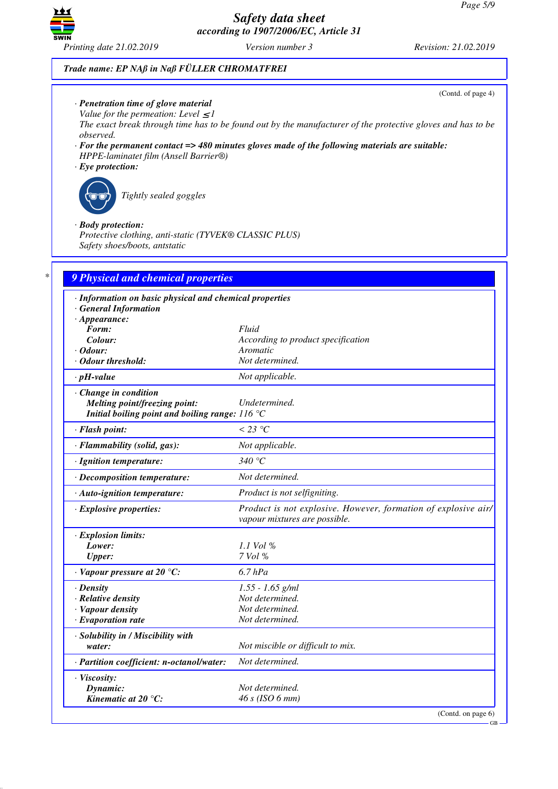

(Contd. of page 4)

GB

### *Trade name: EP NAß in Naß FÜLLER CHROMATFREI*

- *· Penetration time of glove material*
- *Value for the permeation: Level*  $\leq$  *I*

*The exact break through time has to be found out by the manufacturer of the protective gloves and has to be observed.*

- *· For the permanent contact => 480 minutes gloves made of the following materials are suitable: HPPE-laminatet film (Ansell Barrier®)*
- *· Eye protection:*



\_R*Tightly sealed goggles*

#### *· Body protection:*

*Protective clothing, anti-static (TYVEK® CLASSIC PLUS) Safety shoes/boots, antstatic*

| · Information on basic physical and chemical properties  |                                                                                                 |
|----------------------------------------------------------|-------------------------------------------------------------------------------------------------|
| · General Information                                    |                                                                                                 |
| $\cdot$ Appearance:                                      |                                                                                                 |
| Form:<br>Colour:                                         | Fluid                                                                                           |
| $\cdot$ Odour:                                           | According to product specification<br>Aromatic                                                  |
| · Odour threshold:                                       | Not determined.                                                                                 |
| $\cdot$ pH-value                                         | Not applicable.                                                                                 |
| · Change in condition                                    |                                                                                                 |
| Melting point/freezing point:                            | Undetermined.                                                                                   |
| Initial boiling point and boiling range: $116^{\circ}$ C |                                                                                                 |
| · Flash point:                                           | $<$ 23 °C                                                                                       |
| · Flammability (solid, gas):                             | Not applicable.                                                                                 |
| · Ignition temperature:                                  | 340 $\degree$ C                                                                                 |
| · Decomposition temperature:                             | Not determined.                                                                                 |
| · Auto-ignition temperature:                             | Product is not selfigniting.                                                                    |
| $\cdot$ Explosive properties:                            | Product is not explosive. However, formation of explosive air/<br>vapour mixtures are possible. |
| · Explosion limits:                                      |                                                                                                 |
| Lower:                                                   | 1.1 Vol %                                                                                       |
| <b>Upper:</b>                                            | 7 Vol %                                                                                         |
| $\cdot$ Vapour pressure at 20 °C:                        | $6.7$ $hPa$                                                                                     |
| $\cdot$ Density                                          | $1.55 - 1.65$ g/ml                                                                              |
| · Relative density                                       | Not determined.                                                                                 |
| · Vapour density                                         | Not determined.                                                                                 |
| $\cdot$ Evaporation rate                                 | Not determined.                                                                                 |
| · Solubility in / Miscibility with                       |                                                                                                 |
| water:                                                   | Not miscible or difficult to mix.                                                               |
| · Partition coefficient: n-octanol/water:                | Not determined.                                                                                 |
| · Viscosity:                                             |                                                                                                 |
| Dynamic:                                                 | Not determined.                                                                                 |
| Kinematic at $20^{\circ}$ C:                             | 46 s (ISO 6 mm)                                                                                 |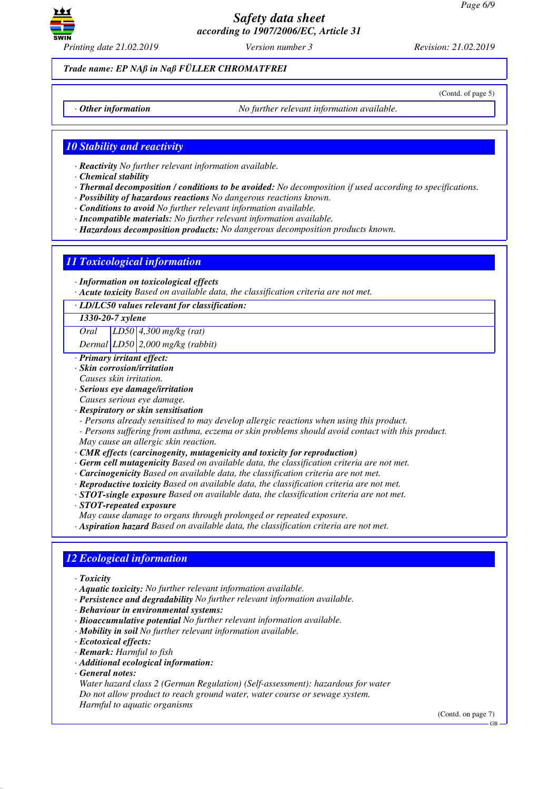

*Printing date 21.02.2019 Version number 3 Revision: 21.02.2019*

(Contd. of page 5)

*Trade name: EP NAß in Naß FÜLLER CHROMATFREI*

*· Other information No further relevant information available.*

*10 Stability and reactivity*

- *· Reactivity No further relevant information available.*
- *· Chemical stability*
- *· Thermal decomposition / conditions to be avoided: No decomposition if used according to specifications.*
- *· Possibility of hazardous reactions No dangerous reactions known.*
- *· Conditions to avoid No further relevant information available.*
- *· Incompatible materials: No further relevant information available.*
- *· Hazardous decomposition products: No dangerous decomposition products known.*

## *11 Toxicological information*

- *· Information on toxicological effects*
- *· Acute toxicity Based on available data, the classification criteria are not met.*
- *· LD/LC50 values relevant for classification:*

#### *1330-20-7 xylene*

*Oral LD50 4,300 mg/kg (rat)*

*Dermal LD50 2,000 mg/kg (rabbit)*

- *· Primary irritant effect:*
- *· Skin corrosion/irritation*
- *Causes skin irritation.*
- *· Serious eye damage/irritation*
- *Causes serious eye damage.*
- *· Respiratory or skin sensitisation*
- *Persons already sensitised to may develop allergic reactions when using this product.*
- *Persons suffering from asthma, eczema or skin problems should avoid contact with this product. May cause an allergic skin reaction.*
- *· CMR effects (carcinogenity, mutagenicity and toxicity for reproduction)*
- *· Germ cell mutagenicity Based on available data, the classification criteria are not met.*
- *· Carcinogenicity Based on available data, the classification criteria are not met.*
- *· Reproductive toxicity Based on available data, the classification criteria are not met.*
- *· STOT-single exposure Based on available data, the classification criteria are not met.*
- *· STOT-repeated exposure*

*May cause damage to organs through prolonged or repeated exposure.*

*· Aspiration hazard Based on available data, the classification criteria are not met.*

## *12 Ecological information*

- *· Toxicity*
- *· Aquatic toxicity: No further relevant information available.*
- *· Persistence and degradability No further relevant information available.*
- *· Behaviour in environmental systems:*
- *· Bioaccumulative potential No further relevant information available.*
- *· Mobility in soil No further relevant information available.*
- *· Ecotoxical effects:*
- *· Remark: Harmful to fish*
- *· Additional ecological information:*
- *· General notes:*

*Water hazard class 2 (German Regulation) (Self-assessment): hazardous for water Do not allow product to reach ground water, water course or sewage system. Harmful to aquatic organisms*

(Contd. on page 7)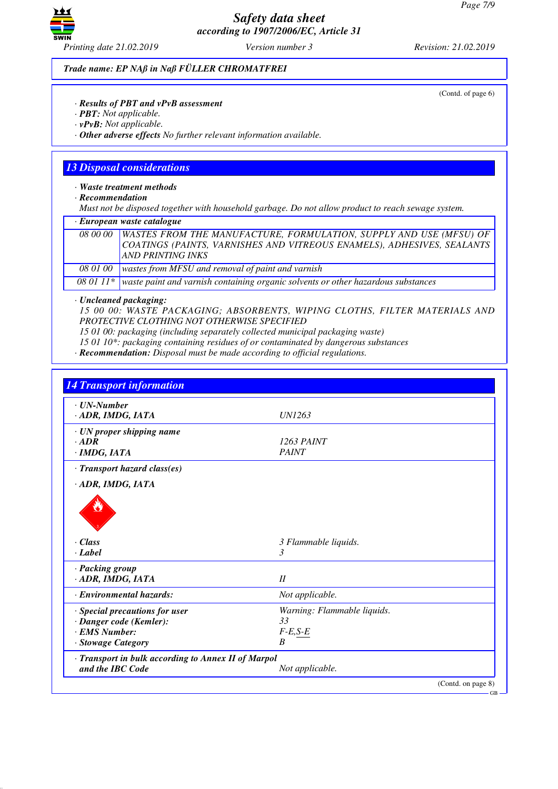

(Contd. of page 6)

*Trade name: EP NAß in Naß FÜLLER CHROMATFREI*

*· Results of PBT and vPvB assessment*

- *· PBT: Not applicable.*
- *· vPvB: Not applicable.*

*· Other adverse effects No further relevant information available.*

## *13 Disposal considerations*

*· Waste treatment methods*

*· Recommendation*

*Must not be disposed together with household garbage. Do not allow product to reach sewage system.*

| · European waste catalogue |                                                                                                                                                                                     |  |
|----------------------------|-------------------------------------------------------------------------------------------------------------------------------------------------------------------------------------|--|
|                            | 08 00 00   WASTES FROM THE MANUFACTURE, FORMULATION, SUPPLY AND USE (MFSU) OF<br>COATINGS (PAINTS, VARNISHES AND VITREOUS ENAMELS), ADHESIVES, SEALANTS<br><b>AND PRINTING INKS</b> |  |
| 08 01 00                   | wastes from MFSU and removal of paint and varnish                                                                                                                                   |  |
|                            | 08 01 11 $*$ waste paint and varnish containing organic solvents or other hazardous substances                                                                                      |  |

*· Uncleaned packaging:*

*15 00 00: WASTE PACKAGING; ABSORBENTS, WIPING CLOTHS, FILTER MATERIALS AND PROTECTIVE CLOTHING NOT OTHERWISE SPECIFIED*

*15 01 00: packaging (including separately collected municipal packaging waste)*

*15 01 10\*: packaging containing residues of or contaminated by dangerous substances*

*· Recommendation: Disposal must be made according to official regulations.*

| $\cdot$ UN-Number                                   |                             |  |
|-----------------------------------------------------|-----------------------------|--|
| · ADR, IMDG, IATA                                   | UN1263                      |  |
| $\cdot$ UN proper shipping name                     |                             |  |
| $\cdot$ ADR                                         | 1263 PAINT                  |  |
| $\cdot$ IMDG, IATA                                  | <b>PAINT</b>                |  |
| $\cdot$ Transport hazard class(es)                  |                             |  |
| · ADR, IMDG, IATA                                   |                             |  |
| $\cdot Class$                                       | 3 Flammable liquids.        |  |
| · Label                                             | 3                           |  |
|                                                     |                             |  |
| · Packing group                                     |                             |  |
| · ADR, IMDG, IATA                                   | II                          |  |
| · Environmental hazards:                            | Not applicable.             |  |
| · Special precautions for user                      | Warning: Flammable liquids. |  |
| · Danger code (Kemler):                             | 33                          |  |
| · EMS Number:                                       | $F-E, S-E$                  |  |
| · Stowage Category                                  | B                           |  |
| · Transport in bulk according to Annex II of Marpol |                             |  |
|                                                     |                             |  |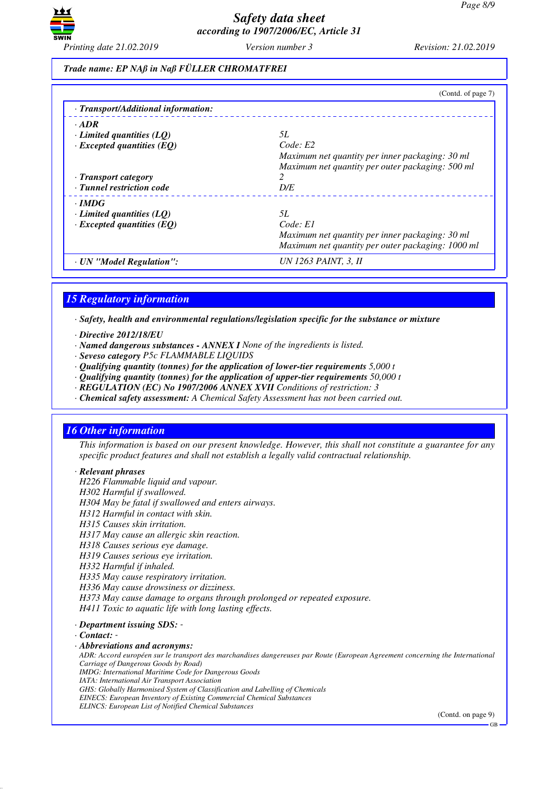

*Trade name: EP NAß in Naß FÜLLER CHROMATFREI*

|                                     | (Contd. of page 7)                                |
|-------------------------------------|---------------------------------------------------|
| · Transport/Additional information: |                                                   |
| $\cdot$ ADR                         |                                                   |
| $\cdot$ Limited quantities (LO)     | 5L                                                |
| $\cdot$ Excepted quantities (EQ)    | Code: E2                                          |
|                                     | Maximum net quantity per inner packaging: 30 ml   |
|                                     | Maximum net quantity per outer packaging: 500 ml  |
| · Transport category                | $\mathcal{P}$                                     |
| · Tunnel restriction code           | D/E                                               |
| $\cdot$ IMDG                        |                                                   |
| $\cdot$ Limited quantities (LQ)     | 5L                                                |
| $\cdot$ Excepted quantities (EQ)    | Code: El                                          |
|                                     | Maximum net quantity per inner packaging: 30 ml   |
|                                     | Maximum net quantity per outer packaging: 1000 ml |
| · UN "Model Regulation":            | UN 1263 PAINT, 3, II                              |

# *15 Regulatory information*

*· Safety, health and environmental regulations/legislation specific for the substance or mixture*

- *· Directive 2012/18/EU*
- *· Named dangerous substances ANNEX I None of the ingredients is listed.*
- *· Seveso category P5c FLAMMABLE LIQUIDS*
- *· Qualifying quantity (tonnes) for the application of lower-tier requirements 5,000 t*
- *· Qualifying quantity (tonnes) for the application of upper-tier requirements 50,000 t*
- *· REGULATION (EC) No 1907/2006 ANNEX XVII Conditions of restriction: 3*
- *· Chemical safety assessment: A Chemical Safety Assessment has not been carried out.*

## *16 Other information*

*This information is based on our present knowledge. However, this shall not constitute a guarantee for any specific product features and shall not establish a legally valid contractual relationship.*

#### *· Relevant phrases*

*H226 Flammable liquid and vapour. H302 Harmful if swallowed. H304 May be fatal if swallowed and enters airways. H312 Harmful in contact with skin. H315 Causes skin irritation. H317 May cause an allergic skin reaction. H318 Causes serious eye damage. H319 Causes serious eye irritation. H332 Harmful if inhaled. H335 May cause respiratory irritation. H336 May cause drowsiness or dizziness. H373 May cause damage to organs through prolonged or repeated exposure. H411 Toxic to aquatic life with long lasting effects.*

*· Department issuing SDS: -* 

*· Contact: -* 

*· Abbreviations and acronyms:*

*ADR: Accord européen sur le transport des marchandises dangereuses par Route (European Agreement concerning the International Carriage of Dangerous Goods by Road) IMDG: International Maritime Code for Dangerous Goods IATA: International Air Transport Association*

*GHS: Globally Harmonised System of Classification and Labelling of Chemicals EINECS: European Inventory of Existing Commercial Chemical Substances*

*ELINCS: European List of Notified Chemical Substances*

(Contd. on page 9)